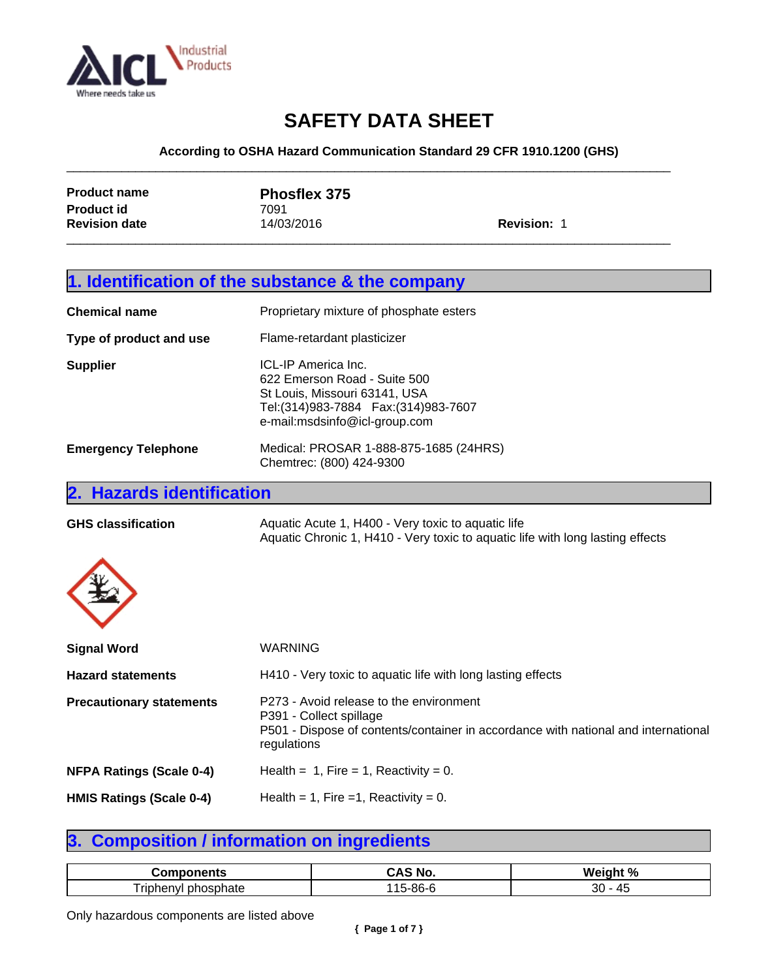

| <b>SAFETY DATA SHEET</b>                                               |                    |
|------------------------------------------------------------------------|--------------------|
| According to OSHA Hazard Communication Standard 29 CFR 1910.1200 (GHS) |                    |
| Phosflex 375                                                           |                    |
| 7091                                                                   |                    |
| 14/03/2016                                                             | <b>Revision: 1</b> |
|                                                                        |                    |

|                                     | 1. Identification of the substance & the company                                                                                                                           |  |
|-------------------------------------|----------------------------------------------------------------------------------------------------------------------------------------------------------------------------|--|
| <b>Chemical name</b>                | Proprietary mixture of phosphate esters                                                                                                                                    |  |
| Type of product and use             | Flame-retardant plasticizer                                                                                                                                                |  |
| <b>Supplier</b>                     | <b>ICL-IP America Inc.</b><br>622 Emerson Road - Suite 500<br>St Louis, Missouri 63141, USA<br>Tel: (314) 983-7884    Fax: (314) 983-7607<br>e-mail:msdsinfo@icl-group.com |  |
| <b>Emergency Telephone</b>          | Medical: PROSAR 1-888-875-1685 (24HRS)<br>Chemtrec: (800) 424-9300                                                                                                         |  |
| <b>Hazards identification</b><br>2. |                                                                                                                                                                            |  |
| <b>GHS classification</b>           | Aquatic Acute 1, H400 - Very toxic to aquatic life<br>Aquatic Chronic 1, H410 - Very toxic to aquatic life with long lasting effects                                       |  |
| <b>Signal Word</b>                  | <b>WARNING</b>                                                                                                                                                             |  |
| <b>Hazard statements</b>            | H410 - Very toxic to aquatic life with long lasting effects                                                                                                                |  |
| <b>Precautionary statements</b>     | P273 - Avoid release to the environment<br>P391 - Collect spillage<br>P501 - Dispose of contents/container in accordance with national and international<br>regulations    |  |
| <b>NFPA Ratings (Scale 0-4)</b>     | Health = $1$ , Fire = 1, Reactivity = 0.                                                                                                                                   |  |
| <b>HMIS Ratings (Scale 0-4)</b>     | Health = 1, Fire = 1, Reactivity = 0.                                                                                                                                      |  |
|                                     |                                                                                                                                                                            |  |

# **3. Composition / information on ingredients**

|                                                   | $\sim$<br>∩^<br>N0<br>. | Weigh<br>$\overline{\phantom{a}}$<br>70 |
|---------------------------------------------------|-------------------------|-----------------------------------------|
| $\sim$<br>rip.<br>hosphate<br>or<br>env<br>$\sim$ | $5-86-$<br>υu           | ?∩<br>◡<br>r.                           |

Only hazardous components are listed above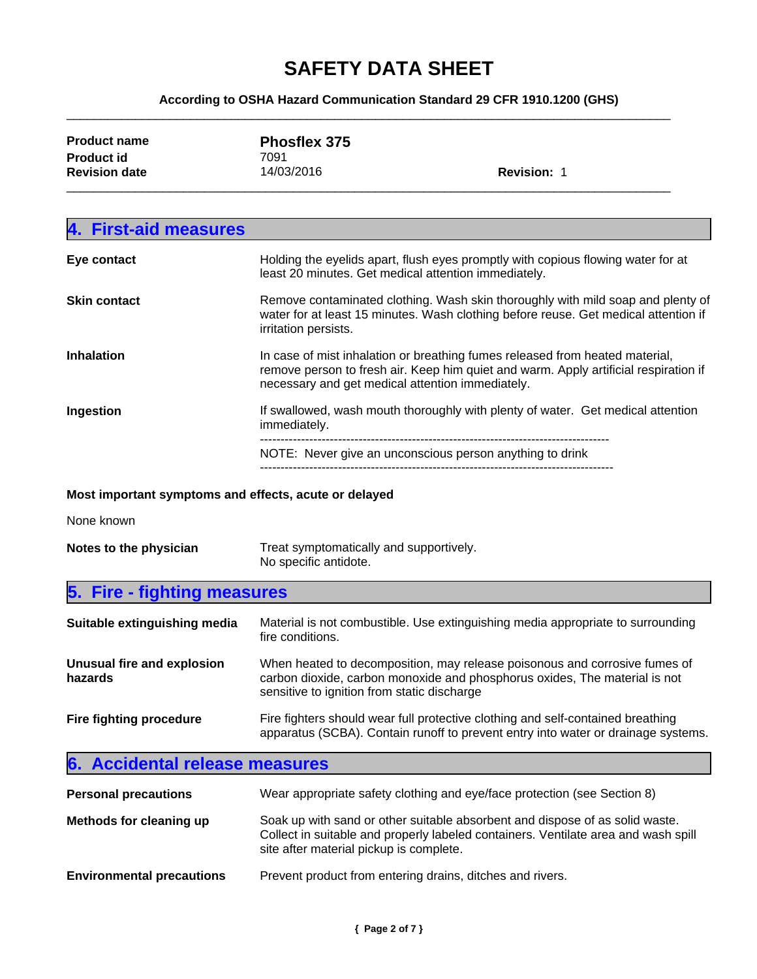| <b>SAFETY DATA SHEET</b>                                               |                    |  |
|------------------------------------------------------------------------|--------------------|--|
| According to OSHA Hazard Communication Standard 29 CFR 1910.1200 (GHS) |                    |  |
| Phosflex 375                                                           |                    |  |
| 7091                                                                   |                    |  |
| 14/03/2016                                                             | <b>Revision: 1</b> |  |
|                                                                        |                    |  |

| 4. First-aid measures |                                                                                                                                                                                                                          |
|-----------------------|--------------------------------------------------------------------------------------------------------------------------------------------------------------------------------------------------------------------------|
| Eye contact           | Holding the eyelids apart, flush eyes promptly with copious flowing water for at<br>least 20 minutes. Get medical attention immediately.                                                                                 |
| <b>Skin contact</b>   | Remove contaminated clothing. Wash skin thoroughly with mild soap and plenty of<br>water for at least 15 minutes. Wash clothing before reuse. Get medical attention if<br>irritation persists.                           |
| <b>Inhalation</b>     | In case of mist inhalation or breathing fumes released from heated material,<br>remove person to fresh air. Keep him quiet and warm. Apply artificial respiration if<br>necessary and get medical attention immediately. |
| Ingestion             | If swallowed, wash mouth thoroughly with plenty of water. Get medical attention<br>immediately.                                                                                                                          |
|                       | NOTE: Never give an unconscious person anything to drink                                                                                                                                                                 |
|                       |                                                                                                                                                                                                                          |

## **Most important symptoms and effects, acute or delayed**

None known

**Notes to the physician** Treat symptomatically and supportively.

No specific antidote.

# **5. Fire - fighting measures**

| Suitable extinguishing media          | Material is not combustible. Use extinguishing media appropriate to surrounding<br>fire conditions.                                                                                                     |
|---------------------------------------|---------------------------------------------------------------------------------------------------------------------------------------------------------------------------------------------------------|
| Unusual fire and explosion<br>hazards | When heated to decomposition, may release poisonous and corrosive fumes of<br>carbon dioxide, carbon monoxide and phosphorus oxides, The material is not<br>sensitive to ignition from static discharge |
| Fire fighting procedure               | Fire fighters should wear full protective clothing and self-contained breathing<br>apparatus (SCBA). Contain runoff to prevent entry into water or drainage systems.                                    |

# **6. Accidental release measures**

| <b>Personal precautions</b>      | Wear appropriate safety clothing and eye/face protection (see Section 8)                                                                                                                                      |
|----------------------------------|---------------------------------------------------------------------------------------------------------------------------------------------------------------------------------------------------------------|
| Methods for cleaning up          | Soak up with sand or other suitable absorbent and dispose of as solid waste.<br>Collect in suitable and properly labeled containers. Ventilate area and wash spill<br>site after material pickup is complete. |
| <b>Environmental precautions</b> | Prevent product from entering drains, ditches and rivers.                                                                                                                                                     |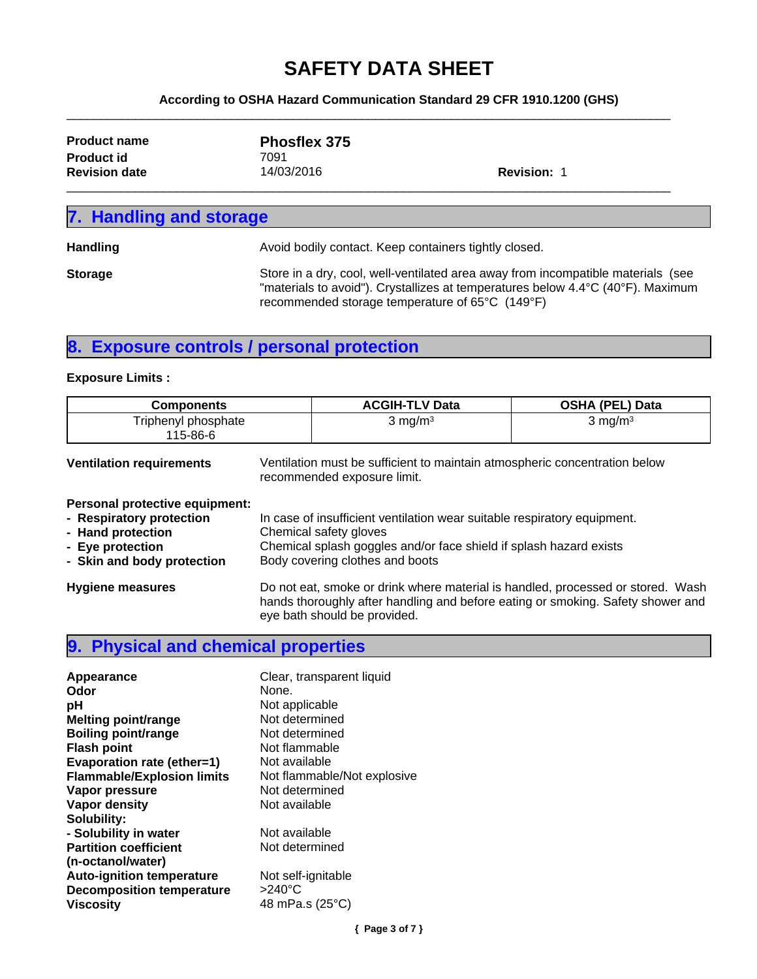|                                                                        | <b>SAFETY DATA SHEET</b> |                    |
|------------------------------------------------------------------------|--------------------------|--------------------|
| According to OSHA Hazard Communication Standard 29 CFR 1910.1200 (GHS) |                          |                    |
| <b>Product name</b>                                                    | Phosflex 375             |                    |
| <b>Product id</b>                                                      | 7091                     |                    |
| <b>Revision date</b>                                                   | 14/03/2016               | <b>Revision: 1</b> |
| 7. Handling and storage                                                |                          |                    |

Handling **Handling Avoid bodily contact. Keep containers tightly closed. Storage** Store in a dry, cool, well-ventilated area away from incompatible materials (see "materials to avoid"). Crystallizes at temperatures below 4.4°C (40°F). Maximum recommended storage temperature of 65°C (149°F)

# **8. Exposure controls / personal protection**

## **Exposure Limits :**

| <b>Components</b>               | <b>ACGIH-TLV Data</b>                                                                                     | <b>OSHA (PEL) Data</b> |
|---------------------------------|-----------------------------------------------------------------------------------------------------------|------------------------|
| Triphenyl phosphate<br>115-86-6 | $3$ mg/m <sup>3</sup>                                                                                     | $3 \text{ mg/m}^3$     |
| <b>Ventilation requirements</b> | Ventilation must be sufficient to maintain atmospheric concentration below<br>recommended exposure limit. |                        |

## **Personal protective equipment:**

| - Respiratory protection   | In case of insufficient ventilation wear suitable respiratory equipment.                                                                                                                           |
|----------------------------|----------------------------------------------------------------------------------------------------------------------------------------------------------------------------------------------------|
| - Hand protection          | Chemical safety gloves                                                                                                                                                                             |
| - Eye protection           | Chemical splash goggles and/or face shield if splash hazard exists                                                                                                                                 |
| - Skin and body protection | Body covering clothes and boots                                                                                                                                                                    |
| <b>Hygiene measures</b>    | Do not eat, smoke or drink where material is handled, processed or stored. Wash<br>hands thoroughly after handling and before eating or smoking. Safety shower and<br>eye bath should be provided. |

# **9. Physical and chemical properties**

| Appearance<br>Odor<br>рH<br><b>Melting point/range</b><br><b>Boiling point/range</b><br><b>Flash point</b><br>Evaporation rate (ether=1)<br><b>Flammable/Explosion limits</b><br>Vapor pressure<br>Vapor density<br>Solubility: | Clear, transparent liquid<br>None.<br>Not applicable<br>Not determined<br>Not determined<br>Not flammable<br>Not available<br>Not flammable/Not explosive<br>Not determined<br>Not available |
|---------------------------------------------------------------------------------------------------------------------------------------------------------------------------------------------------------------------------------|----------------------------------------------------------------------------------------------------------------------------------------------------------------------------------------------|
| - Solubility in water<br><b>Partition coefficient</b><br>(n-octanol/water)<br><b>Auto-ignition temperature</b><br><b>Decomposition temperature</b><br><b>Viscosity</b>                                                          | Not available<br>Not determined<br>Not self-ignitable<br>$>240^{\circ}$ C<br>48 mPa.s (25°C)                                                                                                 |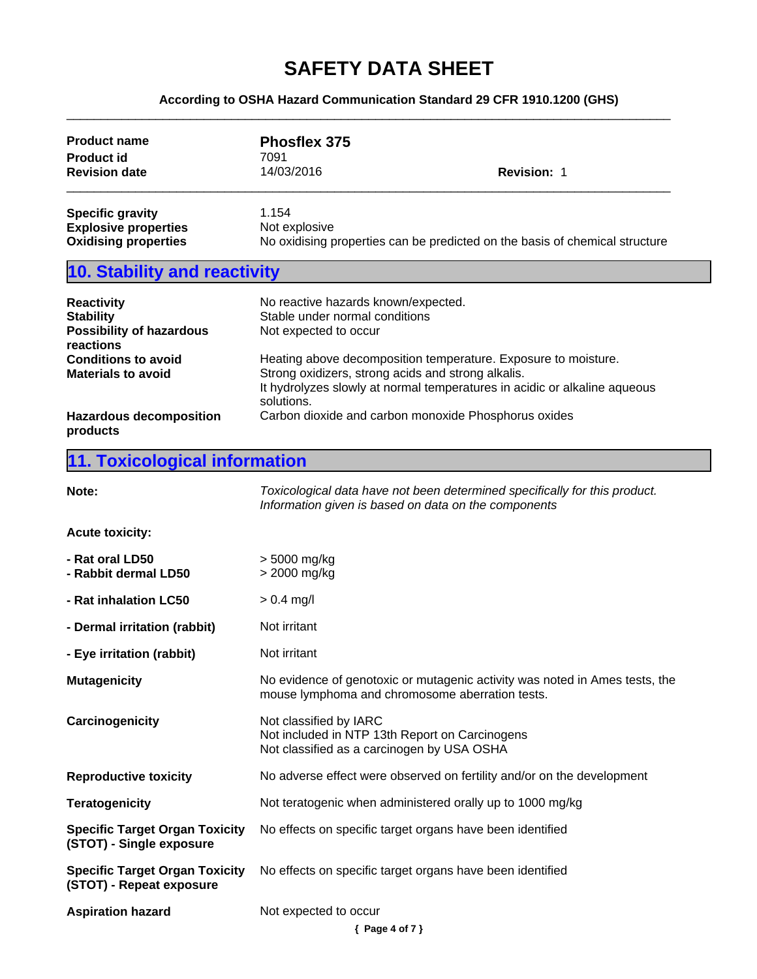| <b>SAFETY DATA SHEET</b>                                          |                                                                                                                                    |
|-------------------------------------------------------------------|------------------------------------------------------------------------------------------------------------------------------------|
|                                                                   | According to OSHA Hazard Communication Standard 29 CFR 1910.1200 (GHS)                                                             |
| <b>Product name</b>                                               | <b>Phosflex 375</b>                                                                                                                |
| <b>Product id</b>                                                 | 7091                                                                                                                               |
| <b>Revision date</b>                                              | 14/03/2016<br><b>Revision: 1</b>                                                                                                   |
| <b>Specific gravity</b>                                           | 1.154                                                                                                                              |
| <b>Explosive properties</b>                                       | Not explosive                                                                                                                      |
| <b>Oxidising properties</b>                                       | No oxidising properties can be predicted on the basis of chemical structure                                                        |
| 10. Stability and reactivity                                      |                                                                                                                                    |
| <b>Reactivity</b>                                                 | No reactive hazards known/expected.                                                                                                |
| <b>Stability</b><br><b>Possibility of hazardous</b>               | Stable under normal conditions<br>Not expected to occur                                                                            |
| reactions                                                         |                                                                                                                                    |
| <b>Conditions to avoid</b>                                        | Heating above decomposition temperature. Exposure to moisture.                                                                     |
| <b>Materials to avoid</b>                                         | Strong oxidizers, strong acids and strong alkalis.<br>It hydrolyzes slowly at normal temperatures in acidic or alkaline aqueous    |
|                                                                   | solutions.                                                                                                                         |
| <b>Hazardous decomposition</b><br>products                        | Carbon dioxide and carbon monoxide Phosphorus oxides                                                                               |
| 11. Toxicological information                                     |                                                                                                                                    |
| Note:                                                             | Toxicological data have not been determined specifically for this product.<br>Information given is based on data on the components |
| <b>Acute toxicity:</b>                                            |                                                                                                                                    |
| - Rat oral LD50                                                   | > 5000 mg/kg                                                                                                                       |
| - Rabbit dermal LD50                                              | > 2000 mg/kg                                                                                                                       |
| - Rat inhalation LC50                                             | $> 0.4$ mg/l                                                                                                                       |
| - Dermal irritation (rabbit)                                      | Not irritant                                                                                                                       |
| - Eye irritation (rabbit)                                         | Not irritant                                                                                                                       |
| <b>Mutagenicity</b>                                               | No evidence of genotoxic or mutagenic activity was noted in Ames tests, the<br>mouse lymphoma and chromosome aberration tests.     |
| Carcinogenicity                                                   | Not classified by IARC<br>Not included in NTP 13th Report on Carcinogens<br>Not classified as a carcinogen by USA OSHA             |
| <b>Reproductive toxicity</b>                                      | No adverse effect were observed on fertility and/or on the development                                                             |
| <b>Teratogenicity</b>                                             | Not teratogenic when administered orally up to 1000 mg/kg                                                                          |
| <b>Specific Target Organ Toxicity</b><br>(STOT) - Single exposure | No effects on specific target organs have been identified                                                                          |
| <b>Specific Target Organ Toxicity</b><br>(STOT) - Repeat exposure | No effects on specific target organs have been identified                                                                          |
| <b>Aspiration hazard</b>                                          | Not expected to occur                                                                                                              |
|                                                                   | { Page 4 of 7 }                                                                                                                    |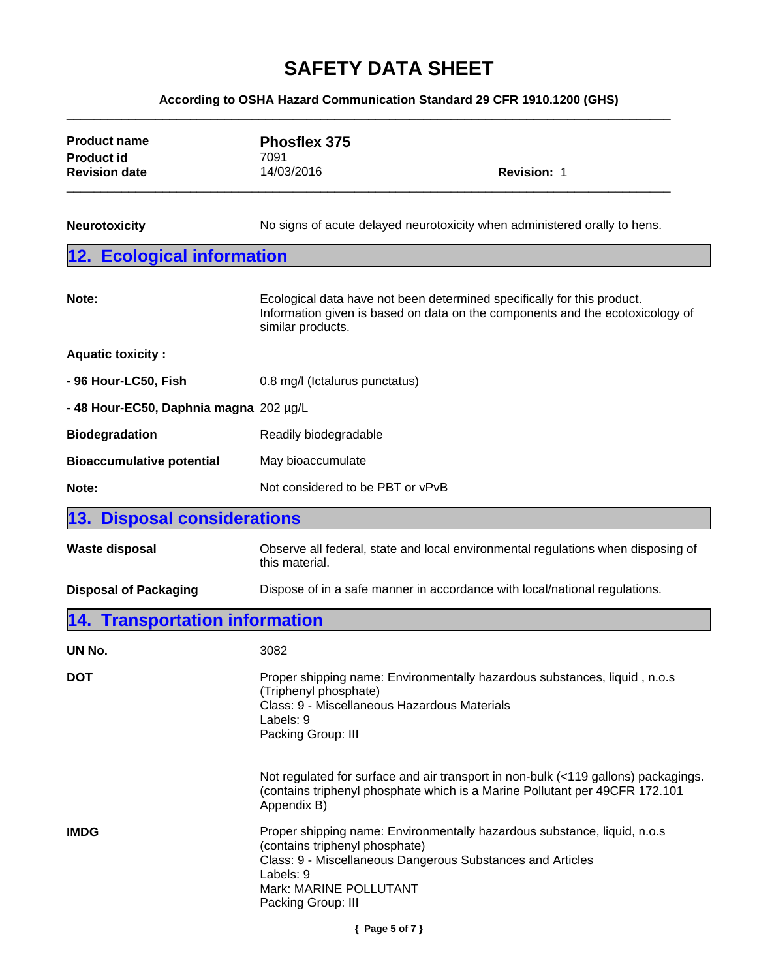| <b>SAFETY DATA SHEET</b><br>According to OSHA Hazard Communication Standard 29 CFR 1910.1200 (GHS) |                                                                                                                                                                               |                                                                                                                                                                   |  |  |
|----------------------------------------------------------------------------------------------------|-------------------------------------------------------------------------------------------------------------------------------------------------------------------------------|-------------------------------------------------------------------------------------------------------------------------------------------------------------------|--|--|
|                                                                                                    |                                                                                                                                                                               |                                                                                                                                                                   |  |  |
| <b>Revision date</b>                                                                               | 14/03/2016                                                                                                                                                                    | <b>Revision: 1</b>                                                                                                                                                |  |  |
| <b>Neurotoxicity</b>                                                                               | No signs of acute delayed neurotoxicity when administered orally to hens.                                                                                                     |                                                                                                                                                                   |  |  |
| 12. Ecological information                                                                         |                                                                                                                                                                               |                                                                                                                                                                   |  |  |
| Note:                                                                                              | Ecological data have not been determined specifically for this product.<br>Information given is based on data on the components and the ecotoxicology of<br>similar products. |                                                                                                                                                                   |  |  |
| <b>Aquatic toxicity:</b>                                                                           |                                                                                                                                                                               |                                                                                                                                                                   |  |  |
| - 96 Hour-LC50, Fish                                                                               | 0.8 mg/l (Ictalurus punctatus)                                                                                                                                                |                                                                                                                                                                   |  |  |
| -48 Hour-EC50, Daphnia magna 202 µg/L                                                              |                                                                                                                                                                               |                                                                                                                                                                   |  |  |
| <b>Biodegradation</b>                                                                              | Readily biodegradable                                                                                                                                                         |                                                                                                                                                                   |  |  |
| <b>Bioaccumulative potential</b>                                                                   | May bioaccumulate                                                                                                                                                             |                                                                                                                                                                   |  |  |
| Note:                                                                                              | Not considered to be PBT or vPvB                                                                                                                                              |                                                                                                                                                                   |  |  |
| <b>13. Disposal considerations</b>                                                                 |                                                                                                                                                                               |                                                                                                                                                                   |  |  |
| <b>Waste disposal</b>                                                                              | Observe all federal, state and local environmental regulations when disposing of<br>this material.                                                                            |                                                                                                                                                                   |  |  |
| <b>Disposal of Packaging</b>                                                                       |                                                                                                                                                                               | Dispose of in a safe manner in accordance with local/national regulations.                                                                                        |  |  |
| <b>Transportation information</b><br>14.                                                           |                                                                                                                                                                               |                                                                                                                                                                   |  |  |
| UN No.                                                                                             | 3082                                                                                                                                                                          |                                                                                                                                                                   |  |  |
| <b>DOT</b>                                                                                         | (Triphenyl phosphate)<br>Class: 9 - Miscellaneous Hazardous Materials<br>Labels: 9<br>Packing Group: III                                                                      | Proper shipping name: Environmentally hazardous substances, liquid, n.o.s.                                                                                        |  |  |
|                                                                                                    | Appendix B)                                                                                                                                                                   | Not regulated for surface and air transport in non-bulk (<119 gallons) packagings.<br>(contains triphenyl phosphate which is a Marine Pollutant per 49CFR 172.101 |  |  |
| <b>IMDG</b>                                                                                        | (contains triphenyl phosphate)<br>Labels: 9<br>Mark: MARINE POLLUTANT<br>Packing Group: III                                                                                   | Proper shipping name: Environmentally hazardous substance, liquid, n.o.s<br>Class: 9 - Miscellaneous Dangerous Substances and Articles                            |  |  |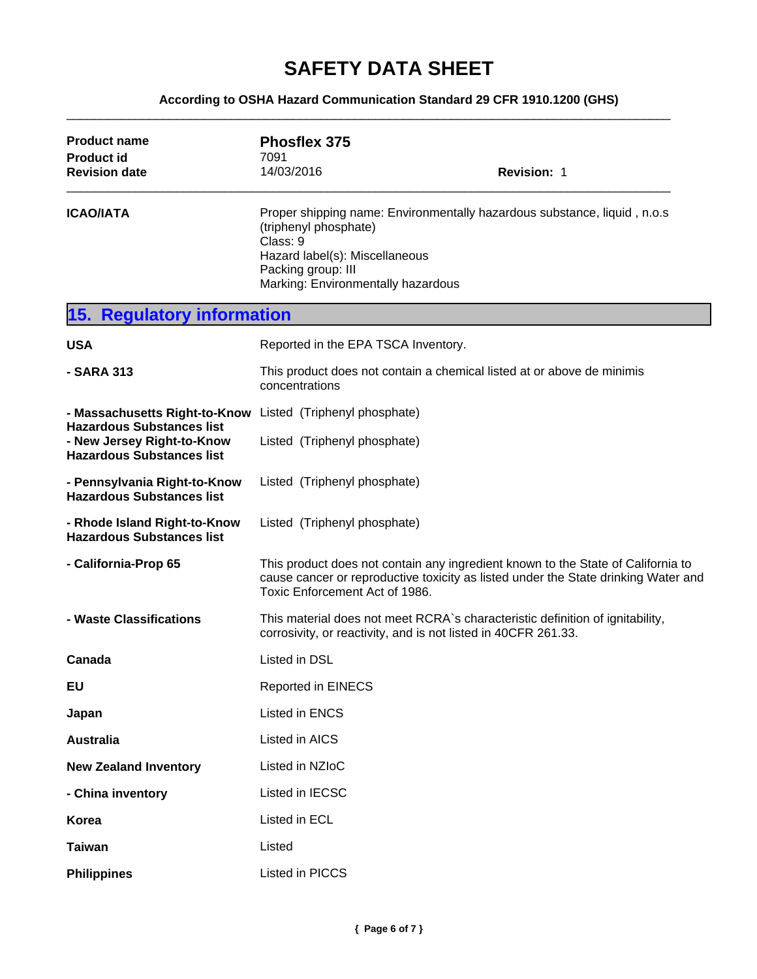| <b>SAFETY DATA SHEET</b>                                               |                                                                                                                                                                                                          |                                                                          |  |  |  |
|------------------------------------------------------------------------|----------------------------------------------------------------------------------------------------------------------------------------------------------------------------------------------------------|--------------------------------------------------------------------------|--|--|--|
| According to OSHA Hazard Communication Standard 29 CFR 1910.1200 (GHS) |                                                                                                                                                                                                          |                                                                          |  |  |  |
| <b>Product name</b><br><b>Product id</b>                               | <b>Phosflex 375</b><br>7091                                                                                                                                                                              |                                                                          |  |  |  |
| <b>Revision date</b>                                                   | 14/03/2016                                                                                                                                                                                               | <b>Revision: 1</b>                                                       |  |  |  |
| <b>ICAO/IATA</b>                                                       | (triphenyl phosphate)<br>Class: 9<br>Hazard label(s): Miscellaneous<br>Packing group: III<br>Marking: Environmentally hazardous                                                                          | Proper shipping name: Environmentally hazardous substance, liquid, n.o.s |  |  |  |
| <b>Regulatory information</b><br>15.                                   |                                                                                                                                                                                                          |                                                                          |  |  |  |
| <b>USA</b>                                                             | Reported in the EPA TSCA Inventory.                                                                                                                                                                      |                                                                          |  |  |  |
| - SARA 313                                                             | This product does not contain a chemical listed at or above de minimis<br>concentrations                                                                                                                 |                                                                          |  |  |  |
| - Massachusetts Right-to-Know<br><b>Hazardous Substances list</b>      | Listed (Triphenyl phosphate)                                                                                                                                                                             |                                                                          |  |  |  |
| - New Jersey Right-to-Know<br><b>Hazardous Substances list</b>         | Listed (Triphenyl phosphate)                                                                                                                                                                             |                                                                          |  |  |  |
| - Pennsylvania Right-to-Know<br><b>Hazardous Substances list</b>       | Listed (Triphenyl phosphate)                                                                                                                                                                             |                                                                          |  |  |  |
| - Rhode Island Right-to-Know<br><b>Hazardous Substances list</b>       | Listed (Triphenyl phosphate)                                                                                                                                                                             |                                                                          |  |  |  |
| - California-Prop 65                                                   | This product does not contain any ingredient known to the State of California to<br>cause cancer or reproductive toxicity as listed under the State drinking Water and<br>Toxic Enforcement Act of 1986. |                                                                          |  |  |  |
| - Waste Classifications                                                | This material does not meet RCRA's characteristic definition of ignitability,<br>corrosivity, or reactivity, and is not listed in 40CFR 261.33.                                                          |                                                                          |  |  |  |
| Canada                                                                 | Listed in DSL                                                                                                                                                                                            |                                                                          |  |  |  |
| EU                                                                     | Reported in EINECS                                                                                                                                                                                       |                                                                          |  |  |  |
| Japan                                                                  | Listed in ENCS                                                                                                                                                                                           |                                                                          |  |  |  |
| <b>Australia</b>                                                       | Listed in AICS                                                                                                                                                                                           |                                                                          |  |  |  |
| <b>New Zealand Inventory</b>                                           | Listed in NZIoC                                                                                                                                                                                          |                                                                          |  |  |  |
| - China inventory                                                      | Listed in IECSC                                                                                                                                                                                          |                                                                          |  |  |  |
| Korea                                                                  | Listed in ECL                                                                                                                                                                                            |                                                                          |  |  |  |
| <b>Taiwan</b>                                                          | Listed                                                                                                                                                                                                   |                                                                          |  |  |  |
| <b>Philippines</b>                                                     | Listed in PICCS                                                                                                                                                                                          |                                                                          |  |  |  |